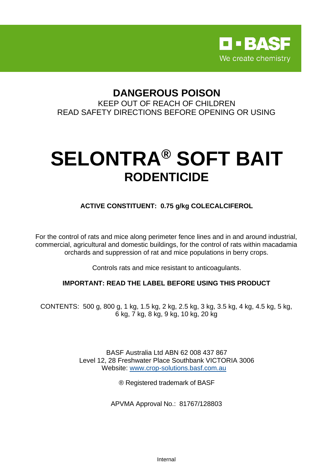

# **DANGEROUS POISON**

KEEP OUT OF REACH OF CHILDREN READ SAFETY DIRECTIONS BEFORE OPENING OR USING

# **SELONTRA® SOFT BAIT RODENTICIDE**

**ACTIVE CONSTITUENT: 0.75 g/kg COLECALCIFEROL**

For the control of rats and mice along perimeter fence lines and in and around industrial, commercial, agricultural and domestic buildings, for the control of rats within macadamia orchards and suppression of rat and mice populations in berry crops.

Controls rats and mice resistant to anticoagulants.

# **IMPORTANT: READ THE LABEL BEFORE USING THIS PRODUCT**

CONTENTS: 500 g, 800 g, 1 kg, 1.5 kg, 2 kg, 2.5 kg, 3 kg, 3.5 kg, 4 kg, 4.5 kg, 5 kg, 6 kg, 7 kg, 8 kg, 9 kg, 10 kg, 20 kg

> BASF Australia Ltd ABN 62 008 437 867 Level 12, 28 Freshwater Place Southbank VICTORIA 3006 Website: [www.crop-solutions.basf.com.au](http://www.crop-solutions.basf.com.au/)

> > ® Registered trademark of BASF

APVMA Approval No.: 81767/128803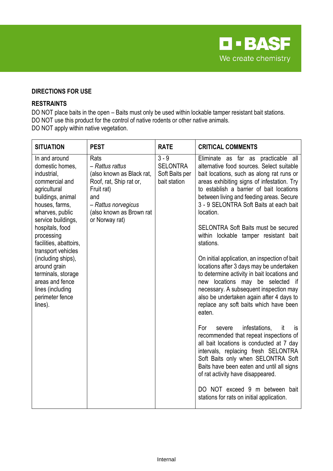

# **DIRECTIONS FOR USE**

#### **RESTRAINTS**

DO NOT place baits in the open – Baits must only be used within lockable tamper resistant bait stations. DO NOT use this product for the control of native rodents or other native animals. DO NOT apply within native vegetation.

| <b>SITUATION</b>                                                                                                                                                                                                                                                                                                                                                                    | <b>PEST</b>                                                                                                                                                               | <b>RATE</b>                                                  | <b>CRITICAL COMMENTS</b>                                                                                                                                                                                                                                                                                                                                                                                                                                                                                                                                                                                                                                                                                                                                                                                                                                                                                                                                                                                                                                                                                                                             |
|-------------------------------------------------------------------------------------------------------------------------------------------------------------------------------------------------------------------------------------------------------------------------------------------------------------------------------------------------------------------------------------|---------------------------------------------------------------------------------------------------------------------------------------------------------------------------|--------------------------------------------------------------|------------------------------------------------------------------------------------------------------------------------------------------------------------------------------------------------------------------------------------------------------------------------------------------------------------------------------------------------------------------------------------------------------------------------------------------------------------------------------------------------------------------------------------------------------------------------------------------------------------------------------------------------------------------------------------------------------------------------------------------------------------------------------------------------------------------------------------------------------------------------------------------------------------------------------------------------------------------------------------------------------------------------------------------------------------------------------------------------------------------------------------------------------|
| In and around<br>domestic homes,<br>industrial,<br>commercial and<br>agricultural<br>buildings, animal<br>houses, farms,<br>wharves, public<br>service buildings,<br>hospitals, food<br>processing<br>facilities, abattoirs,<br>transport vehicles<br>(including ships),<br>around grain<br>terminals, storage<br>areas and fence<br>lines (including<br>perimeter fence<br>lines). | Rats<br>- Rattus rattus<br>(also known as Black rat,<br>Roof, rat, Ship rat or,<br>Fruit rat)<br>and<br>- Rattus norvegicus<br>(also known as Brown rat<br>or Norway rat) | $3 - 9$<br><b>SELONTRA</b><br>Soft Baits per<br>bait station | Eliminate as far as practicable all<br>alternative food sources. Select suitable<br>bait locations, such as along rat runs or<br>areas exhibiting signs of infestation. Try<br>to establish a barrier of bait locations<br>between living and feeding areas. Secure<br>3 - 9 SELONTRA Soft Baits at each bait<br>location.<br><b>SELONTRA Soft Baits must be secured</b><br>within lockable tamper resistant bait<br>stations.<br>On initial application, an inspection of bait<br>locations after 3 days may be undertaken<br>to determine activity in bait locations and<br>locations may be selected if<br>new<br>necessary. A subsequent inspection may<br>also be undertaken again after 4 days to<br>replace any soft baits which have been<br>eaten.<br>infestations,<br>For<br>severe<br>it<br><b>is</b><br>recommended that repeat inspections of<br>all bait locations is conducted at 7 day<br>intervals, replacing fresh SELONTRA<br>Soft Baits only when SELONTRA Soft<br>Baits have been eaten and until all signs<br>of rat activity have disappeared.<br>DO NOT exceed 9 m between bait<br>stations for rats on initial application. |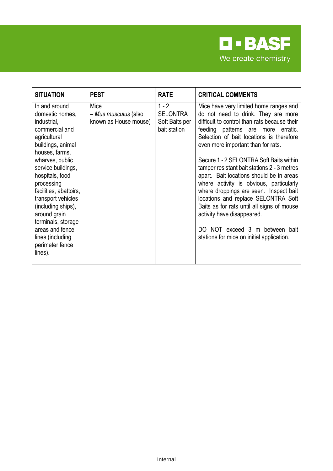

| <b>SITUATION</b>                                                                                                                                                                                                                                                                                                                                                                    | <b>PEST</b>                                           | <b>RATE</b>                                                  | <b>CRITICAL COMMENTS</b>                                                                                                                                                                                                                                                                                                                                                                                                                                                                                                                                                                                                                                                           |
|-------------------------------------------------------------------------------------------------------------------------------------------------------------------------------------------------------------------------------------------------------------------------------------------------------------------------------------------------------------------------------------|-------------------------------------------------------|--------------------------------------------------------------|------------------------------------------------------------------------------------------------------------------------------------------------------------------------------------------------------------------------------------------------------------------------------------------------------------------------------------------------------------------------------------------------------------------------------------------------------------------------------------------------------------------------------------------------------------------------------------------------------------------------------------------------------------------------------------|
| In and around<br>domestic homes,<br>industrial,<br>commercial and<br>agricultural<br>buildings, animal<br>houses, farms,<br>wharves, public<br>service buildings,<br>hospitals, food<br>processing<br>facilities, abattoirs,<br>transport vehicles<br>(including ships),<br>around grain<br>terminals, storage<br>areas and fence<br>lines (including<br>perimeter fence<br>lines). | Mice<br>- Mus musculus (also<br>known as House mouse) | $1 - 2$<br><b>SELONTRA</b><br>Soft Baits per<br>bait station | Mice have very limited home ranges and<br>do not need to drink. They are more<br>difficult to control than rats because their<br>feeding patterns are more erratic.<br>Selection of bait locations is therefore<br>even more important than for rats.<br>Secure 1 - 2 SELONTRA Soft Baits within<br>tamper resistant bait stations 2 - 3 metres<br>apart. Bait locations should be in areas<br>where activity is obvious, particularly<br>where droppings are seen. Inspect bait<br>locations and replace SELONTRA Soft<br>Baits as for rats until all signs of mouse<br>activity have disappeared.<br>DO NOT exceed 3 m between bait<br>stations for mice on initial application. |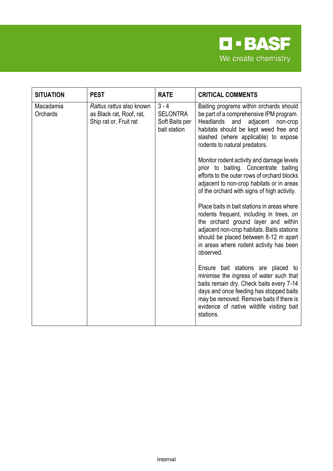

| <b>SITUATION</b>      | <b>PEST</b>                                                                    | <b>RATE</b>                                                  | <b>CRITICAL COMMENTS</b>                                                                                                                                                                                                                                                                                                                                                           |
|-----------------------|--------------------------------------------------------------------------------|--------------------------------------------------------------|------------------------------------------------------------------------------------------------------------------------------------------------------------------------------------------------------------------------------------------------------------------------------------------------------------------------------------------------------------------------------------|
| Macadamia<br>Orchards | Rattus rattus also known<br>as Black rat, Roof, rat,<br>Ship rat or, Fruit rat | $3 - 4$<br><b>SELONTRA</b><br>Soft Baits per<br>bait station | Baiting programs within orchards should<br>be part of a comprehensive IPM program.<br>Headlands<br>and<br>adjacent non-crop<br>habitats should be kept weed free and<br>slashed (where applicable) to expose<br>rodents to natural predators.<br>Monitor rodent activity and damage levels<br>prior to baiting. Concentrate baiting<br>efforts to the outer rows of orchard blocks |
|                       |                                                                                |                                                              | adjacent to non-crop habitats or in areas<br>of the orchard with signs of high activity.<br>Place baits in bait stations in areas where<br>rodents frequent, including in trees, on<br>the orchard ground layer and within<br>adjacent non-crop habitats. Baits stations<br>should be placed between 8-12 m apart<br>in areas where rodent activity has been<br>observed.          |
|                       |                                                                                |                                                              | Ensure bait stations are placed to<br>minimise the ingress of water such that<br>baits remain dry. Check baits every 7-14<br>days and once feeding has stopped baits<br>may be removed. Remove baits if there is<br>evidence of native wildlife visiting bait<br>stations.                                                                                                         |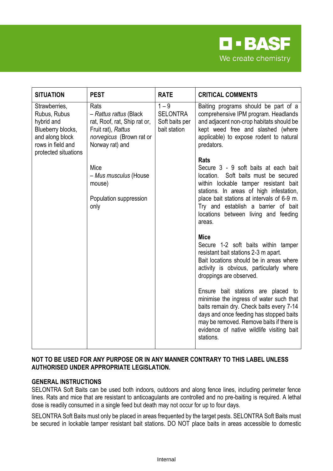

| <b>SITUATION</b>                                                                                                                 | <b>PEST</b>                                                                                                                         | <b>RATE</b>                                                  | <b>CRITICAL COMMENTS</b>                                                                                                                                                                                                                                                                                                  |
|----------------------------------------------------------------------------------------------------------------------------------|-------------------------------------------------------------------------------------------------------------------------------------|--------------------------------------------------------------|---------------------------------------------------------------------------------------------------------------------------------------------------------------------------------------------------------------------------------------------------------------------------------------------------------------------------|
| Strawberries,<br>Rubus, Rubus<br>hybrid and<br>Blueberry blocks,<br>and along block<br>rows in field and<br>protected situations | Rats<br>- Rattus rattus (Black<br>rat, Roof, rat, Ship rat or,<br>Fruit rat), Rattus<br>norvegicus (Brown rat or<br>Norway rat) and | $1 - 9$<br><b>SELONTRA</b><br>Soft baits per<br>bait station | Baiting programs should be part of a<br>comprehensive IPM program. Headlands<br>and adjacent non-crop habitats should be<br>kept weed free and slashed (where<br>applicable) to expose rodent to natural<br>predators.                                                                                                    |
|                                                                                                                                  | Mice<br>- Mus musculus (House<br>mouse)<br>Population suppression<br>only                                                           |                                                              | <b>Rats</b><br>Secure 3 - 9 soft baits at each bait<br>Soft baits must be secured<br>location.<br>within lockable tamper resistant bait<br>stations. In areas of high infestation,<br>place bait stations at intervals of 6-9 m.<br>Try and establish a barrier of bait<br>locations between living and feeding<br>areas. |
|                                                                                                                                  |                                                                                                                                     |                                                              | <b>Mice</b><br>Secure 1-2 soft baits within tamper<br>resistant bait stations 2-3 m apart.<br>Bait locations should be in areas where<br>activity is obvious, particularly where<br>droppings are observed.                                                                                                               |
|                                                                                                                                  |                                                                                                                                     |                                                              | Ensure bait stations are placed to<br>minimise the ingress of water such that<br>baits remain dry. Check baits every 7-14<br>days and once feeding has stopped baits<br>may be removed. Remove baits if there is<br>evidence of native wildlife visiting bait<br>stations.                                                |

# **NOT TO BE USED FOR ANY PURPOSE OR IN ANY MANNER CONTRARY TO THIS LABEL UNLESS AUTHORISED UNDER APPROPRIATE LEGISLATION.**

# **GENERAL INSTRUCTIONS**

SELONTRA Soft Baits can be used both indoors, outdoors and along fence lines, including perimeter fence lines. Rats and mice that are resistant to anticoagulants are controlled and no pre-baiting is required. A lethal dose is readily consumed in a single feed but death may not occur for up to four days.

SELONTRA Soft Baits must only be placed in areas frequented by the target pests. SELONTRA Soft Baits must be secured in lockable tamper resistant bait stations. DO NOT place baits in areas accessible to domestic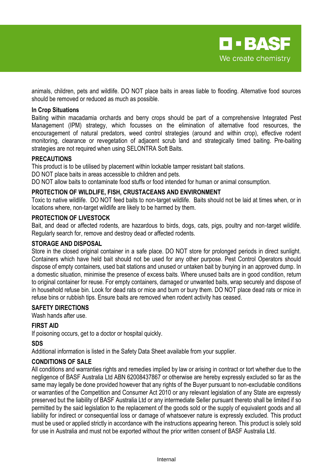

animals, children, pets and wildlife. DO NOT place baits in areas liable to flooding. Alternative food sources should be removed or reduced as much as possible.

#### **In Crop Situations**

Baiting within macadamia orchards and berry crops should be part of a comprehensive Integrated Pest Management (IPM) strategy, which focusses on the elimination of alternative food resources, the encouragement of natural predators, weed control strategies (around and within crop), effective rodent monitoring, clearance or revegetation of adjacent scrub land and strategically timed baiting. Pre-baiting strategies are not required when using SELONTRA Soft Baits.

#### **PRECAUTIONS**

This product is to be utilised by placement within lockable tamper resistant bait stations. DO NOT place baits in areas accessible to children and pets.

DO NOT allow baits to contaminate food stuffs or food intended for human or animal consumption.

#### **PROTECTION OF WILDLIFE, FISH, CRUSTACEANS AND ENVIRONMENT**

Toxic to native wildlife. DO NOT feed baits to non-target wildlife. Baits should not be laid at times when, or in locations where, non-target wildlife are likely to be harmed by them.

### **PROTECTION OF LIVESTOCK**

Bait, and dead or affected rodents, are hazardous to birds, dogs, cats, pigs, poultry and non-target wildlife. Regularly search for, remove and destroy dead or affected rodents.

#### **STORAGE AND DISPOSAL**

Store in the closed original container in a safe place. DO NOT store for prolonged periods in direct sunlight. Containers which have held bait should not be used for any other purpose. Pest Control Operators should dispose of empty containers, used bait stations and unused or untaken bait by burying in an approved dump. In a domestic situation, minimise the presence of excess baits. Where unused baits are in good condition, return to original container for reuse. For empty containers, damaged or unwanted baits, wrap securely and dispose of in household refuse bin. Look for dead rats or mice and burn or bury them. DO NOT place dead rats or mice in refuse bins or rubbish tips. Ensure baits are removed when rodent activity has ceased.

#### **SAFETY DIRECTIONS**

Wash hands after use.

#### **FIRST AID**

If poisoning occurs, get to a doctor or hospital quickly.

#### **SDS**

Additional information is listed in the Safety Data Sheet available from your supplier.

#### **CONDITIONS OF SALE**

All conditions and warranties rights and remedies implied by law or arising in contract or tort whether due to the negligence of BASF Australia Ltd ABN 62008437867 or otherwise are hereby expressly excluded so far as the same may legally be done provided however that any rights of the Buyer pursuant to non-excludable conditions or warranties of the Competition and Consumer Act 2010 or any relevant legislation of any State are expressly preserved but the liability of BASF Australia Ltd or any intermediate Seller pursuant thereto shall be limited if so permitted by the said legislation to the replacement of the goods sold or the supply of equivalent goods and all liability for indirect or consequential loss or damage of whatsoever nature is expressly excluded. This product must be used or applied strictly in accordance with the instructions appearing hereon. This product is solely sold for use in Australia and must not be exported without the prior written consent of BASF Australia Ltd.